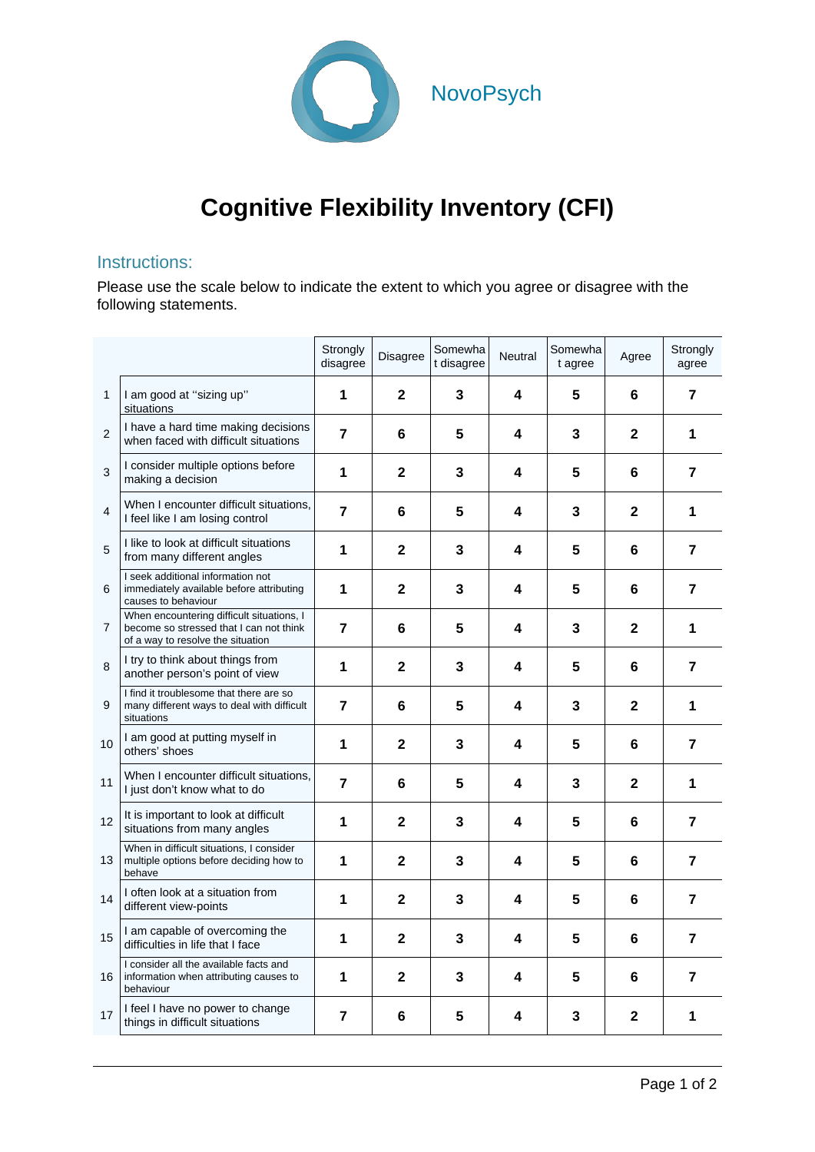

## **Cognitive Flexibility Inventory (CFI)**

## Instructions:

Please use the scale below to indicate the extent to which you agree or disagree with the following statements.

|                |                                                                                                                           | Strongly<br>disagree | Disagree                | Somewha<br>t disagree | Neutral | Somewha<br>t agree | Agree        | Strongly<br>agree |
|----------------|---------------------------------------------------------------------------------------------------------------------------|----------------------|-------------------------|-----------------------|---------|--------------------|--------------|-------------------|
| 1              | I am good at "sizing up"<br>situations                                                                                    | 1                    | $\mathbf{2}$            | 3                     | 4       | 5                  | 6            | 7                 |
| $\overline{c}$ | I have a hard time making decisions<br>when faced with difficult situations                                               | 7                    | 6                       | 5                     | 4       | 3                  | $\mathbf{2}$ | 1                 |
| 3              | I consider multiple options before<br>making a decision                                                                   | 1                    | $\mathbf{2}$            | 3                     | 4       | 5                  | 6            | $\overline{7}$    |
| 4              | When I encounter difficult situations,<br>I feel like I am losing control                                                 | 7                    | 6                       | 5                     | 4       | 3                  | $\mathbf{2}$ | 1                 |
| 5              | I like to look at difficult situations<br>from many different angles                                                      | 1                    | $\mathbf{2}$            | 3                     | 4       | 5                  | 6            | 7                 |
| 6              | I seek additional information not<br>immediately available before attributing<br>causes to behaviour                      | 1                    | $\mathbf{2}$            | 3                     | 4       | 5                  | 6            | 7                 |
| 7              | When encountering difficult situations, I<br>become so stressed that I can not think<br>of a way to resolve the situation | 7                    | 6                       | 5                     | 4       | 3                  | $\mathbf{2}$ | 1                 |
| 8              | I try to think about things from<br>another person's point of view                                                        | 1                    | $\overline{\mathbf{2}}$ | $\mathbf{3}$          | 4       | 5                  | 6            | 7                 |
| 9              | I find it troublesome that there are so<br>many different ways to deal with difficult<br>situations                       | $\overline{7}$       | 6                       | 5                     | 4       | 3                  | $\mathbf{2}$ | 1                 |
| 10             | I am good at putting myself in<br>others' shoes                                                                           | 1                    | 2                       | $\mathbf{3}$          | 4       | 5                  | 6            | $\overline{7}$    |
| 11             | When I encounter difficult situations,<br>I just don't know what to do                                                    | $\overline{7}$       | 6                       | 5                     | 4       | 3                  | $\mathbf{2}$ | 1                 |
| 12             | It is important to look at difficult<br>situations from many angles                                                       | 1                    | $\mathbf{2}$            | $\mathbf{3}$          | 4       | 5                  | 6            | 7                 |
| 13             | When in difficult situations, I consider<br>multiple options before deciding how to<br>behave                             | 1                    | $\mathbf{2}$            | 3                     | 4       | 5                  | 6            | $\overline{7}$    |
| 14             | I often look at a situation from<br>different view-points                                                                 | 1                    | $\mathbf{2}$            | 3                     | 4       | 5                  | 6            | 7                 |
| 15             | I am capable of overcoming the<br>difficulties in life that I face                                                        | 1                    | $\mathbf{2}$            | 3                     | 4       | 5                  | 6            | 7                 |
| 16             | I consider all the available facts and<br>information when attributing causes to<br>behaviour                             | 1                    | $\mathbf 2$             | 3                     | 4       | 5                  | 6            | 7                 |
| 17             | I feel I have no power to change<br>things in difficult situations                                                        | 7                    | 6                       | 5                     | 4       | 3                  | 2            | 1                 |